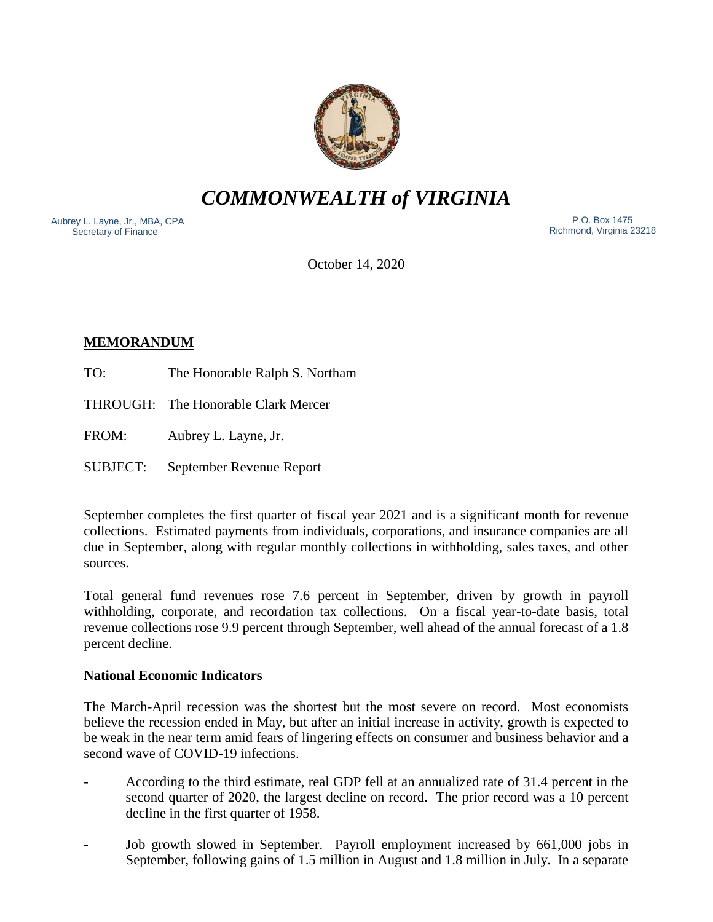

*COMMONWEALTH of VIRGINIA*

Aubrey L. Layne, Jr., MBA, CPA Secretary of Finance

 P.O. Box 1475 Richmond, Virginia 23218

October 14, 2020

# **MEMORANDUM**

- TO: The Honorable Ralph S. Northam
- THROUGH: The Honorable Clark Mercer
- FROM: Aubrey L. Layne, Jr.
- SUBJECT: September Revenue Report

September completes the first quarter of fiscal year 2021 and is a significant month for revenue collections. Estimated payments from individuals, corporations, and insurance companies are all due in September, along with regular monthly collections in withholding, sales taxes, and other sources.

Total general fund revenues rose 7.6 percent in September, driven by growth in payroll withholding, corporate, and recordation tax collections. On a fiscal year-to-date basis, total revenue collections rose 9.9 percent through September, well ahead of the annual forecast of a 1.8 percent decline.

## **National Economic Indicators**

The March-April recession was the shortest but the most severe on record. Most economists believe the recession ended in May, but after an initial increase in activity, growth is expected to be weak in the near term amid fears of lingering effects on consumer and business behavior and a second wave of COVID-19 infections.

- According to the third estimate, real GDP fell at an annualized rate of 31.4 percent in the second quarter of 2020, the largest decline on record. The prior record was a 10 percent decline in the first quarter of 1958.
- Job growth slowed in September. Payroll employment increased by 661,000 jobs in September, following gains of 1.5 million in August and 1.8 million in July. In a separate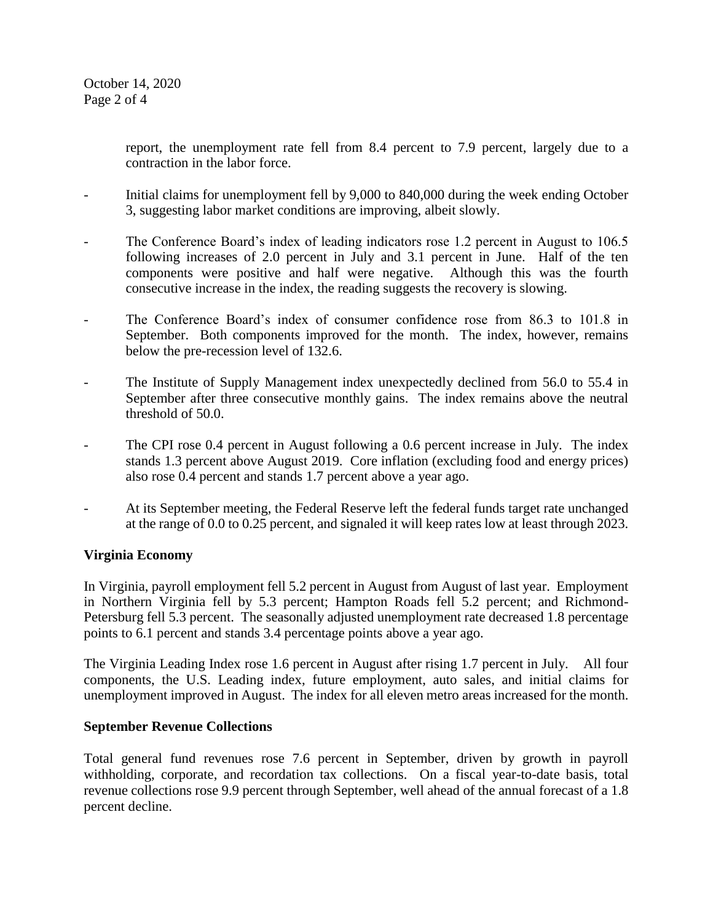report, the unemployment rate fell from 8.4 percent to 7.9 percent, largely due to a contraction in the labor force.

- Initial claims for unemployment fell by 9,000 to 840,000 during the week ending October 3, suggesting labor market conditions are improving, albeit slowly.
- The Conference Board's index of leading indicators rose 1.2 percent in August to 106.5 following increases of 2.0 percent in July and 3.1 percent in June. Half of the ten components were positive and half were negative. Although this was the fourth consecutive increase in the index, the reading suggests the recovery is slowing.
- The Conference Board's index of consumer confidence rose from 86.3 to 101.8 in September. Both components improved for the month. The index, however, remains below the pre-recession level of 132.6.
- The Institute of Supply Management index unexpectedly declined from 56.0 to 55.4 in September after three consecutive monthly gains. The index remains above the neutral threshold of 50.0.
- The CPI rose 0.4 percent in August following a 0.6 percent increase in July. The index stands 1.3 percent above August 2019. Core inflation (excluding food and energy prices) also rose 0.4 percent and stands 1.7 percent above a year ago.
- At its September meeting, the Federal Reserve left the federal funds target rate unchanged at the range of 0.0 to 0.25 percent, and signaled it will keep rates low at least through 2023.

## **Virginia Economy**

In Virginia, payroll employment fell 5.2 percent in August from August of last year. Employment in Northern Virginia fell by 5.3 percent; Hampton Roads fell 5.2 percent; and Richmond-Petersburg fell 5.3 percent. The seasonally adjusted unemployment rate decreased 1.8 percentage points to 6.1 percent and stands 3.4 percentage points above a year ago.

The Virginia Leading Index rose 1.6 percent in August after rising 1.7 percent in July. All four components, the U.S. Leading index, future employment, auto sales, and initial claims for unemployment improved in August. The index for all eleven metro areas increased for the month.

## **September Revenue Collections**

Total general fund revenues rose 7.6 percent in September, driven by growth in payroll withholding, corporate, and recordation tax collections. On a fiscal year-to-date basis, total revenue collections rose 9.9 percent through September, well ahead of the annual forecast of a 1.8 percent decline.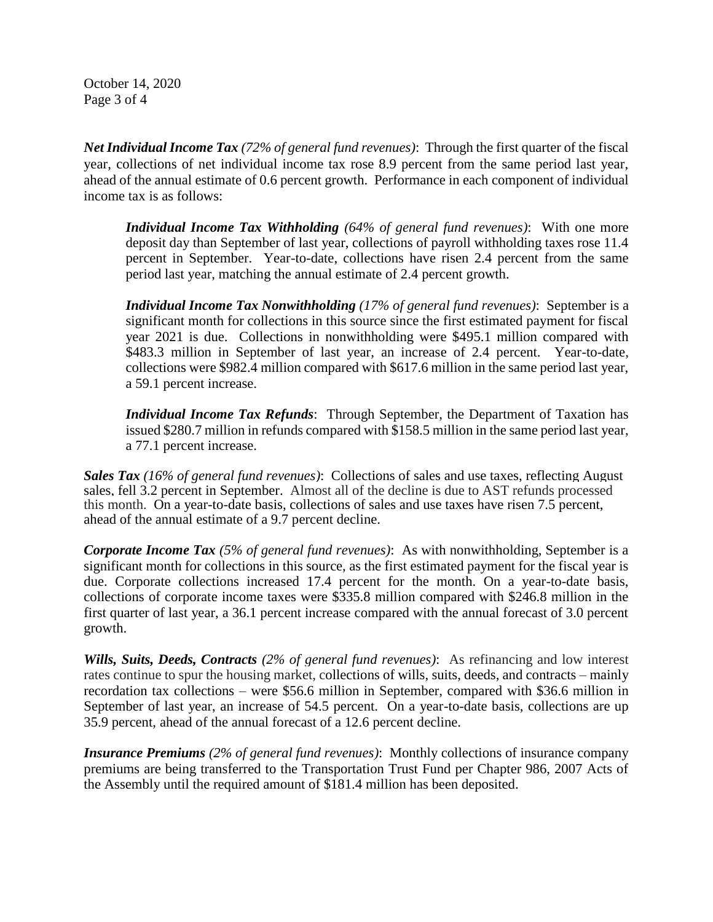October 14, 2020 Page 3 of 4

*Net Individual Income Tax (72% of general fund revenues)*: Through the first quarter of the fiscal year, collections of net individual income tax rose 8.9 percent from the same period last year, ahead of the annual estimate of 0.6 percent growth. Performance in each component of individual income tax is as follows:

*Individual Income Tax Withholding (64% of general fund revenues)*: With one more deposit day than September of last year, collections of payroll withholding taxes rose 11.4 percent in September. Year-to-date, collections have risen 2.4 percent from the same period last year, matching the annual estimate of 2.4 percent growth.

*Individual Income Tax Nonwithholding (17% of general fund revenues)*: September is a significant month for collections in this source since the first estimated payment for fiscal year 2021 is due. Collections in nonwithholding were \$495.1 million compared with \$483.3 million in September of last year, an increase of 2.4 percent. Year-to-date, collections were \$982.4 million compared with \$617.6 million in the same period last year, a 59.1 percent increase.

*Individual Income Tax Refunds*: Through September, the Department of Taxation has issued \$280.7 million in refunds compared with \$158.5 million in the same period last year, a 77.1 percent increase.

*Sales Tax (16% of general fund revenues)*: Collections of sales and use taxes, reflecting August sales, fell 3.2 percent in September. Almost all of the decline is due to AST refunds processed this month. On a year-to-date basis, collections of sales and use taxes have risen 7.5 percent, ahead of the annual estimate of a 9.7 percent decline.

*Corporate Income Tax (5% of general fund revenues)*: As with nonwithholding, September is a significant month for collections in this source, as the first estimated payment for the fiscal year is due. Corporate collections increased 17.4 percent for the month. On a year-to-date basis, collections of corporate income taxes were \$335.8 million compared with \$246.8 million in the first quarter of last year, a 36.1 percent increase compared with the annual forecast of 3.0 percent growth.

*Wills, Suits, Deeds, Contracts (2% of general fund revenues)*: As refinancing and low interest rates continue to spur the housing market, collections of wills, suits, deeds, and contracts – mainly recordation tax collections – were \$56.6 million in September, compared with \$36.6 million in September of last year, an increase of 54.5 percent. On a year-to-date basis, collections are up 35.9 percent, ahead of the annual forecast of a 12.6 percent decline.

*Insurance Premiums (2% of general fund revenues)*: Monthly collections of insurance company premiums are being transferred to the Transportation Trust Fund per Chapter 986, 2007 Acts of the Assembly until the required amount of \$181.4 million has been deposited.